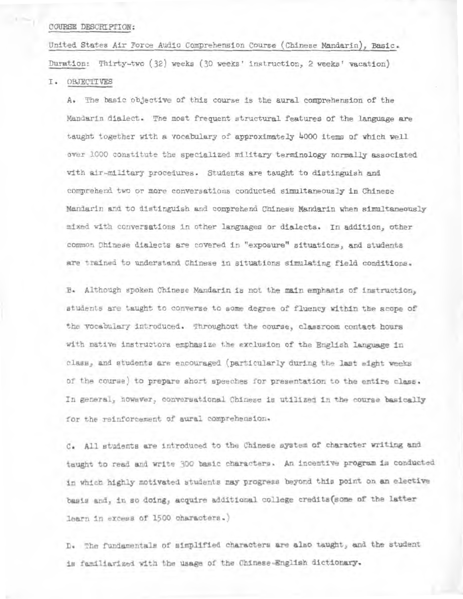### **COURSE DESCRIPTION: COURSE DEsera Pr' ON:**

**United States Air Force Audio Comprehension Course (Chinese Mandarin), Basic. United States Air Force Audio Comprehension Course (Chinese Mandarin), Basic. Duration: Thirty-two (32) weeks (3D weeks' instruction, 2 weeks' vacation) Duration: Thirty-two (32) weeks (30 weeks' instruction, 2 weeks' vacation)** 

### **I. OBJECTIVES I. OBJECTIVES**

**A. The basic objective of this course is the aural comprehension of the A. The basic objective of this course is the aural comprehension of the Mandarin dialect. The most frequent structural features of the language are Mandarin** dialect. The most frequent structural features of the language are taught together with a vocabulary of approximately 4000 items of which well **over 1000 constitute the specialized military terminology ncrmally associated**  over 1000 constitute the specialized military terminology **normally associated with air -military procedures. Students are taught to distinguish and**  with air military procedures. Students are taught to distinguish and **comprehend two or more conversations conducted simultaneously in Chinese comprehend two or more conversations conducted simmltaneously in Chinese Mandarin and to distinguish axld comprehend Chinese Mandarin when simultaneously Mandarin ana to distinguish and comprehend Chinese Mandarin when simultaneously mixed with conversations in other languages or dialects. In addition, other mixed with conversations in other** languages or dialects. In addition, other **common Chinese dialects are covered in "exposure" situations, and students common Chinese dialects are covered in "exposure" situations, and students are trained to understand Chinese in situations simulating field conditions. are trained to** understand Chinese in situations **simula'ing field conditions.** 

**B. Although spoken Chinese Mandarin is not the main emphasis of instruction, B. Although spoken Chinese** Mandarin is not the main emphasis of instruction) **students are taught to converse to some degree of fluency within the scope of students are taught to converse to some degree of fluency within the scope of the vocabulary introduced. Throughout the course, classroom contact hours the vocabulary introduced. Throughout the course, classroom contact hours**  with native instructors emphasize the exclusion of the English language in class, and students are encouraged (particularly during the last eight weeks **of the course) to prepare short speeches for presentation to the entire class. In genera1, however, conversational Chinese is utilisers in the course basically for the rsinforcement of aural comprehension.**  of the course) to prepare short speeches for presentation to the entire class.<br>In general, however, conversational Chinese is utilized in the course basically<br>for the reinforcement of aural comprehension.

**C. All students are introduced to the Chinese system of character writing and**  C. All students are introduced to the Chinese system of character writing and<br>taught to read and write 300 basic characters. An incentive program is conducted in which highly motivated students may progress beyond this point on an elective **basis and, in so doing, acquire additional college credits(some of the latter basis andy in so doing, acquire additional college credits(some of the latter Darn In excess of 1500 characters. learn in excess of 1500 characters.)** 

D. The fundamentals of simplified characters are also taught, and the student **is familiarized with the usage of the Chinese-tEnglish dictionary. is familiarized with** the **usage of the Chinese English dictionary.**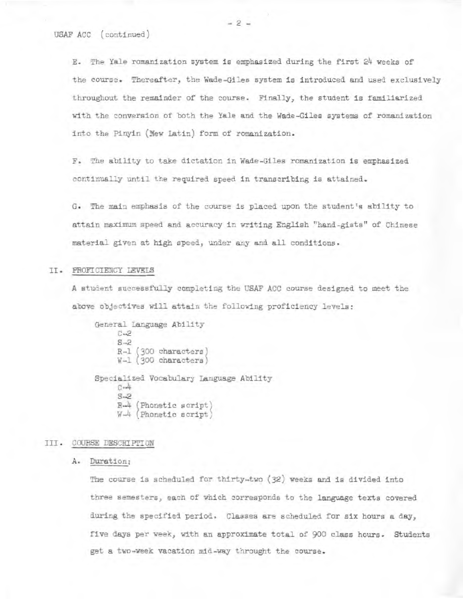E. The Yale romanization system is emphasized during the first 24 weeks of E. The Yale romanization system is emphasized during the first 24 weeks of<br>the course. Thereafter, the Wade-Giles system is introduced and used exclusively throughout the remainder of the course. Finally, the student is familiarized with the conversion of both the Yale and the Wade-Giles systems of romanization with the conversion of both the Yale and the Wade-Giles systems cf romanization into the P1nyin (New Latin) form of romanization. into the Pinyin (New Latin) form of romanization.

F. l'he ability to take dictation in Wade-Giles romanization is emphasized F. The ability to take dictation in Wade-Giles romanization is emphasized continually until the required speed in transcribing is attained. continually until the required speed in transcribing is attained.

G. The main emphasis of the course is placed upon the student's ability to G. The main emphasis of the course is placed upon the student's ability to attain maximum speed and accuracy in writing English "hand-gists" of Chinese attain maximum speed and accuracy in writing English "hand-gists" of Chinese material given at high speed., under any *and all* conditions. material given at high speed, under any and all conditions.

# II. PROFIZIENGY LEVELS II. PROFICIENCY LEVELS

A siudent successfully completing the USAF ACC course designed to meet the A student successfully completing the USAF ACC course designed to meet the above objectives will attain the following proficiency levels: above objectives will attain the following proficiency levels:

General Language Ability S-2 S-2 R-1 (300 characters R-1 (300 characters) W-I (300 characters W-1 (300 characters) Specialized Vocabulary Language Ability Specialized Vocabulary Language Ability S-2 B-4 (Phonetic script; R-4 (Phonetic script)  $W\rightarrow$  (Phonetic script) C-2  $C - 4$ 

# III. COURSE DESCRIPTION

## A. Duration; A. Duration:

The course is scheduled for thirty-two (32) weeks and is divided into The course is scheduled for thirty-two (32) weeks and is divided into three semesters, each of which corresponds to the language texts covered during the specified period. Classes are scheduled for six hours a day, during the specified period. Classes are scheduled for six hours a day, five days per week, with an approximate total of 900 class hours. Students five days per week, with an approximate total of 900 class hours. Students get a two-week vacation mid-way throught the course. get a two-week vacation mid-way throught the course.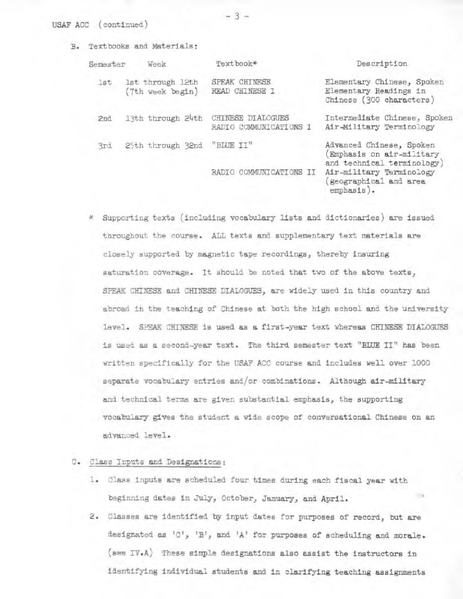#### USAF ACC (continued)

B. Textbooks and Materials:

| Semester | Week                                 | Textbook*                                   | Description                                                                        |
|----------|--------------------------------------|---------------------------------------------|------------------------------------------------------------------------------------|
| 1st      | 1st through 12th<br>(7th week begin) | SPEAK CHINESE<br>READ CHINESE I             | Elementary Chinese, Spoken<br>Elementary Readings in<br>Chinese (300 characters)   |
| 2nd      | 13th through 24th                    | CHINESE DIALOGUES<br>RADIO COMMUNICATIONS I | Intermediate Chinese, Spoken<br>Air-Military Terminology                           |
| 3rd      | 25th through 32nd                    | "BLUE II"                                   | Advanced Chinese, Spoken<br>Emphasis on air-military<br>and technical terminology) |
|          |                                      | COMMUNICATIONS II<br>RADIO                  | Air-military Terminology<br>geographical and area<br>emphasis).                    |

Supporting texts (including vocabulary lists and dictionaries) are issued **Supporting texts (including vocabulary lists and dictionaries) are issued**  throughout the course. ALL texts and supplementary text materials are closely supported by magnetic tape recordings, thereby insuring saturation coverage. It should be noted that two of the above texts, SPEAK CHINESE and CHINESE DIALOGUES, are widely used in this country and abroad in the teaching of Chinese at both the high school and the university level. SPEAK CHINESE is used as a first-year text whereas CHINESE DIALOGUES is used as a second year text. The third semester text "BLUE II" has been written specifically for the USAF ACC course and includes well over 1000 separate vocabulary entries and/or combinations. Although air-military and technical terms are given substantial emphasis, the supporting vocabulary gives the student a wide scope of conversational Chinese on an advanced level.

### C. Class Inputs and Designations

- Class inputs are scheduled four times during each fiscal year with beginning dates in July, October, January, and April.
- 2. Classes are identified by input dates for purposes of record, but are designated as 'C', 'B', and 'A' for purposes of scheduling and morale. (see IV.A) These simple designations **also** assist the instructors in identifying **individual students and in** clarifying teaching assignments

 $-3 -$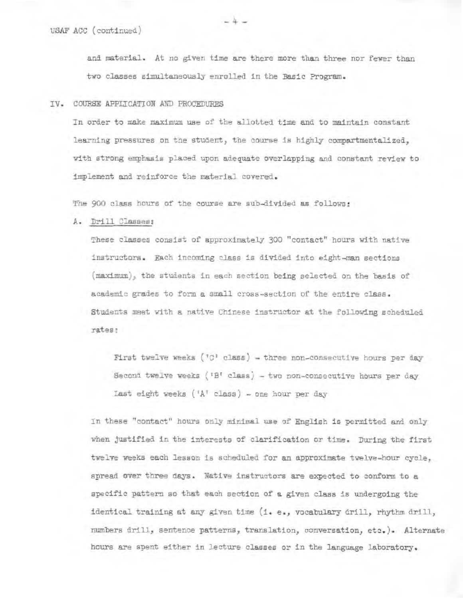and material. At no given time are there more than three nor fewer than and material. At no given time are there more than three nor fewer than two classes simultaneously enrolled in the Basic Program.

#### IV. COURSE APPLICATION MO PROCEDURES IV. COURSE APPLICATION AND PROCEDURES

In order to make maximum *use* of the allotted time and to maintain constant In order to make maximum use of the allotted time and to maintain constant learning pressures on the student, the course is highly compartmentalized, with strong emphasis placed upon adequate overlapping and constant review to with strong emphasis placed upon adequate overlapping and constant review to Implement and reinforce the material covered. implement and reinforce the material covered.<br>The 900 class hours of the course are sub-divided as follows:<br>A. <u>Drill Classes</u>:

The 900 class hours of the course are sub-divided as follows:

A. Drill Classes:

These classes consist of approximately 300 "contact" hours with native These classes consist of approximately 300 "contact" hours with native instructors. Each incoming class is divided into eight-man sections instructors. Each incoming class is divided into eight-man sections  $(\text{maximum})$ , the students in each section being selected on the basis of academic grades to form a small cross-section of the entire class. Students meet with a native Chinese instructor at the following scheduled Students meet with a native Chinese instructor at the following scheduled rates! rates

First twelve weeks ( $^{\dagger}$ C<sup>1</sup> class) - three non-consecutive hours per day Secona twelve weeks ('B' class) - two non-consecutive hours per day Second twelve weeks ('B' class) - two non-consecutive hours per day Last eight weeks (IA' class) - one hour per day Last eight weeks ('A' class) - one hour per day

in these "contact" hours only minimal use of English is permitted and only In these "contact" hours only minimal use of English is Permitted and only when justified in the interests of clarification or time. During the first when justified in the interests of clarification or time. During the first<br>twelve weeks each lesson is scheduled for an approximate twelve-hour cycle, spread over three days. Native instructors are expected to conform to a specific pattern so that each section of a given class is undergoing the identical training at any given time (i. e., vocabulary drill, rhythm drill, identical training at any given time (i. e., vocabulary drill, rhythm drill, numbers drill, sentence patterns, translation, conversation, etc.). Alternate numbers drill, sentence patterns, trarslation, conversation, etc.). Alternate hours are spent either In lecture classes or in the language laboratory. hours are spent either in lecture classes or in the language laboratory.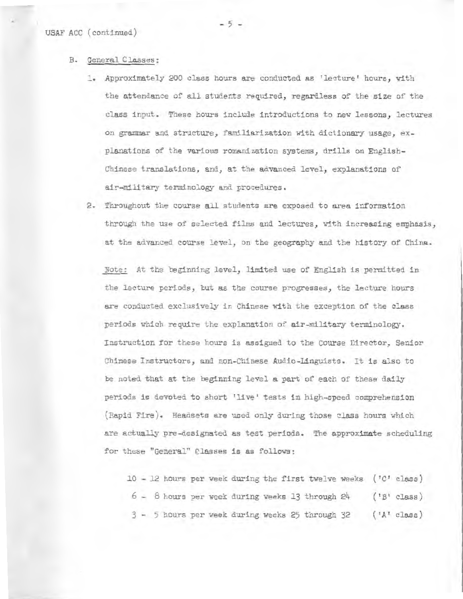#### B. General Classes:

- Approximately 200 class hours are conducted as 'lecture' hours, with the attendance of all students required, regardless of the size of the class input. These hours include introductions to new lessons, lectures on grammar and structure, familiarization with dictionary usage, explanations of the various romanization systems, drills on English-planations of the various romanization systems, drills on English-Chinese translati❑ns, and, at the advanced level, explanations of Chinese translations, and, at the advanced level, explanations of air-military terminology and procedures. air-military terminology and procedures. B. General Classes:<br>1. Approximately 200 class hours are conducted as 'lecture' hours, with<br>the attendance of all students required, regardless of the size of the<br>class input. These hours include introductions to new lesso
	- 2. Throughout the course all students are exposed to area information 2. Throughout the course all students are exposed to area information through the use of selected films and lectures, with increasing emphasis, through the use of selected films and lectures, with increasing emphasis, at the advanced course level, on the geography and the hist❑ry of China. at the advanced course level, on the geography and the history of China.

Note: At the beginning level, limited use of English is permitted in the lecture periods, but as the course progresses, the lecture hours the lecture periods, but as the course progresses, the lecture hours are conducted exclusively in Chinese with the exception of the class periods which require the explanation of air-military terminology. Instruction for these hours is assigned to the C❑urse Director, Senior Chinese Instructors, and non-Chinese Audio-Linguists. It is also to Chinese Instructors, and non-Chinese Audio-Linguists. It is also to be noted that at the beginning level a part of each of these daily periods is devoted to short 'live' tests in high-speed comprehension (Rapid Fire). Headsets are used only during those class hours which are actually pre-designated as test periods. The approximate scheduling for these "General" Classes is as follows: are conducted exclusively in Chinese with the exception of the class periods which require the explanation of air-military terminology. Instruction for these hours is assigned to the Course Director, Senior be noted that at the beginning level a part of each of these daily periods is devoted to short 'live' tests in high-speed comprehension (Rapid Fire). Headsets are used only during those class hours which

10 - 12 hours per week during the first twelve weeks ('C' class) 10 - 12 hours per week during the first twelve weeks ('C' class) 6 - 8 hours per week during weeks 13 through  $24$  ('B' class)<br>3 - 5 hours per week during weeks  $25$  through  $32$  ('A' class)  $3 - 5$  hours per week during weeks 25 through  $32$  ( $14'$  class)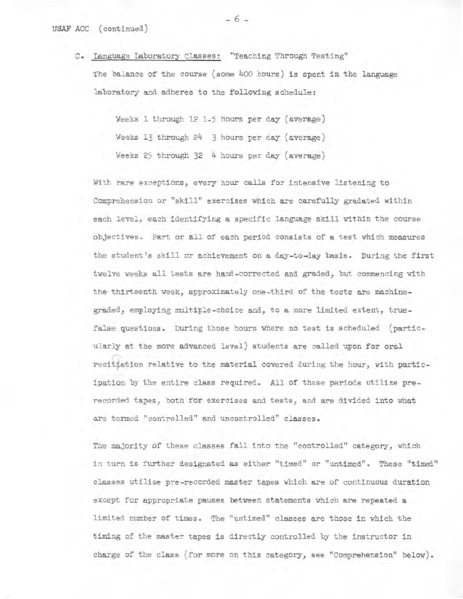C. Language Laboratory Classes: "Teaching Through Testing" The halanc- of the course (some Lkoo hours) is spent in the language C. Language Laboratory Classes: "Teaching Through Testing" The balance of the course (some 400 hours) is spent in the language laboratory and adheres to the following schedule: laboratory and adheres to the following schedule:

> Weeks I through 12 1.5 hours per day (average) Weeks 1 through 12 1.5 hours per day (average)<br>Weeks 13 through 24 = 3 hours per day (average) Weeks 25 through 32 4 hours per day (average)

With rare exceptions, every hour calls for intersive listening to Weeks 25 through 32 4 hours per day (average) With rare exceptions, every hour calls for intensive listening to Comprehension or "skill" exercises 'which. are carefully gradated within Comprehension or "skill" exercises which are carefully gradated within each level, each identifying a specific language skill within the course objectives. Part or all of each period consists of a test which measures the student's skill or achievement on a day-to-day basis. During the first twelve weeks all tests are hand-corrected and graded, but commencing with the thirteenth week, approximately one-third of the tests are machinegraded, employing multiple-choice and, to a more limited extent, true-graded, employing multiple-choice and, to a more limited extent, truefalse questions. During those hours where no test is scheduled (partic-false questions. During those hours where no test is scheduled (particularly at the more advanced level) students are called upon for oral ularly at the more advanced level) students are called upon for oral<br>recitiation relative to the material covered during the hour, with participation by the entire class required. All of these periods utilize pre-ipation by the entire class required. All of these periods utilize prerecorded tapes, both for exercises and tests, and are divided into what<br>are termed "controlled" and uncontrolled" classes. are termed "controlled" and uncontrolled" classes. each level, each identifying a specific language skill within the course<br>objectives. Part or all of each period consists of a test which measures<br>the student's skill or achievement on a day-to-day basis. During the first<br>t

The majority of these classes fall into the "controlled" category, which The majority of these classes fall into the "controlled" category, which in turn is further designated as either "timed" or "untimed". These "timed" in turn is further designated as either "timed" or "untimed". These "timed" classes utilize pre-recorded master tapes which are of continuous duration except for appropriate pauses between statements which are repeated a limited number of times. The "untimed" classes are those in which the timing of the master tapes is directly controlled by the instructor in charge of the class 'for more on this category, see "Comnrehension" below. charge of the class (for more on this category, see "Comprehension" below). classes utilize pre-recorded master tapes which are of continuous duration<br>except for appropriate pauses between statements which are repeated a<br>limited number of times. The "untimed" classes are those in which the<br>timing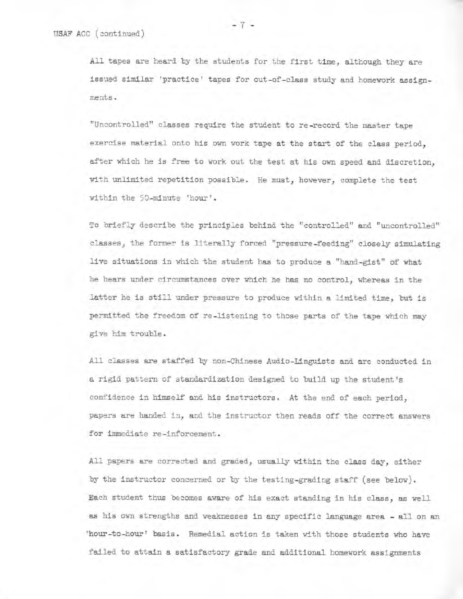All tapes are heard by the students for the first time, although they are issued similar 'practice' tapes for out-of-class study and homework assignments.

"Uncontrolled" classes require the student to re-record the master tape exercise material onto his own work tape at the start of the class period, after which he is free to work out the test at his own speed and discretion, with unlimited repetition possible. He must, however, complete the test within the 50-minute 'hour'.

To briefly describe the principles behind the "controlled" and "uncontrolled" classes) the former is literally forced "pressure-feeding" closely simulating live situations in which the student has to produce a "hand-gist" of what he hears under circumstances over which he has no control, whereas in the latter he is still under pressure to produce within a limited time, but is permitted the freedom of re-listening to those parts of the tape which may give him trouble.

All classes are staffed by non-Chinese Audio-Linguists and are conducted in a rigid pattern of standardization designed to build up the student's confidence in himself and his instructors. At the end of each period, papers are handed in, and the instructor then reads off the correct answers for immediate re-inforcement.

All papers are corrected and graded, usually within the class day, either by the instructor concerned or by the testing-grading staff (see below). Each student thus becomes aware of his exact standing in his class, as well as his own strengths and weaknesses in any specific language area - all on an 'hour-to-hour' basis. Remedial action is taken with those students who have failed to attain a satisfactory grade and additional homework assignments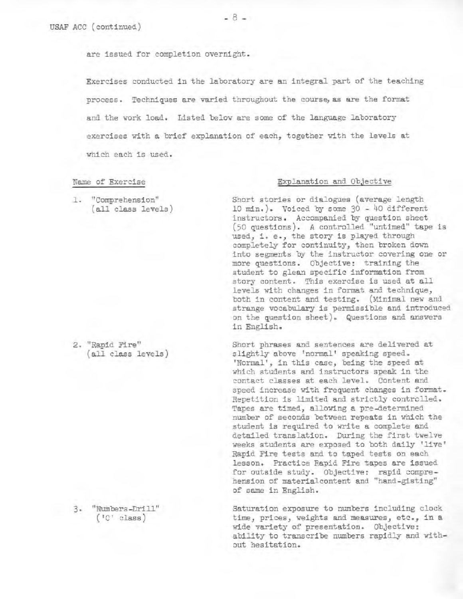are issued for completion overnight.

Exercises conducted in the laboratory are an integral part of the teaching process. Techniques are varied throughout the course, as are the format and the work load. Listed below are some of the language laboratory exercises with a brief explanation of each, together with the levels at which each is used.

1. "Comprehension" (all class levels)

2. "Rapid Fire" (all class levels)

3. "Numbers-Drill" ('C' class)

#### Name of Exercise **Explanation** and Objective

Short stories or dialogues (average length 10 min.). Voiced by some  $30 - 40$  different instructors. Accompanied by question sheet (50 questions). A controlled "untimed" tape is used, i. e., the story is played through completely for continuity, then broken down into segments by the instructor covering one or more questions. Objective: training the student to glean specific information from story content. This exercise is used at all levels with changes in format and technique, both in content and testing. (Minimal new and strange vocabulary is permissible and introduced on the question sheet). Questions and answers in English.

Short phrases and sentences are delivered at slightly above 'normal' speaking speed. 'Normal', in this case, being the speed at which students and instructors speak in the contact classes at each level. Content and speed increase with frequent changes in format. Repetition is limited and strictly controlled. Tapes are timed, allowing a pre-determined number of seconds between repeats in which the student is required to write a complete and detailed translation. During the first twelve weeks students are exposed to both daily 'live' Rapid Fire tests and to taped tests on each lesson. Practice Rapid Fire tapes are issued for outside study. Objective: rapid comprehension of materialcontent and "hand-gisting" of same in English.

Saturation exposure to numbers including clock time, prices, weights and measures, etc., in a wide variety of presentation. Objective: ability to transcribe numbers rapidly and without hesitation.

 $-8-$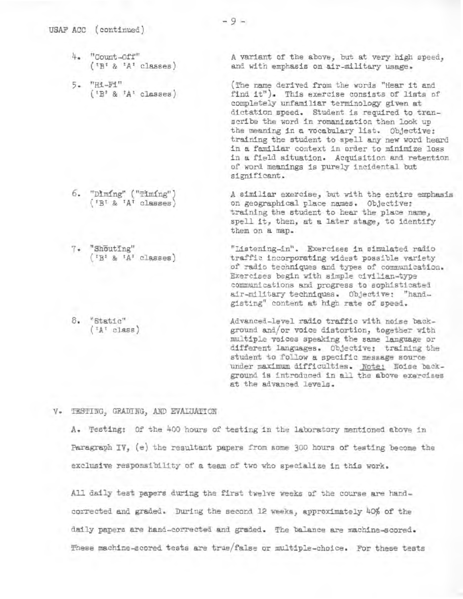- 4. "Count-Off" 4. "Count-Off"  $($ <sup>'B' & 'A' classes)</sup>
- 5. "Hi-Fi" 5. "Hi-Fi" ('B' & 'A' classee) ('B' & classes) USAF ACC (continued)<br>
4. "Count-Off"<br>
('B' & 'A' classes)<br>
5. "Hi-Fi"<br>
('B' & 'A' classes)<br>
6. "Dìmíng" ("Tìmíng")

A variant of the above, but at very high speed, A variant of the above, but at very high speed and with emphasis on air-military usage.

and with emphasis on air-military usage.<br>(The name derived from the words "Hear it and find it"). This exercise consists of lists of find it"). This exercise consists of lists of completely unfamiliar terminology given at completely unfamiliar terminology given at dictation speed. Student is reqaired to tran-dictation speed. Student is required to transcribe the word in romanization then look UD scribe the word in romanization then look up the meaning in a vocabulary list. Objective: training the student to spell any new word heard in a familiar context in order 'to minimize loss in a field situation. Acquisition and retention of word meanings is purely incidental but significant. significant. training the student to spell any new word heard in a familiar context in order to minimize loss in a field situation. Acquisition and retention of word meanings is purely incidental but

A similar exercise, but with the entire emphasia A similiar exercise, but with the entire emphasis on geographical place names. Objective: on geographical place :lames. Objective: training the student to hear the place name, training the student to hear the place name, spell it, then, at a later stage, to identify spell it, then, at a later stage, to identify them on a map. them on a map.

"Listening-in". Exercises in simulated radio "Listening-in". Exercises in simulated radio<br>traffic incorporating widest possible variety of radio techniques and types of communication. Exercises begin with simple civilian-type Exercises begin with simple civilian type communications and progress to sophisticated air-military techniques. Objective: "hand-air-military techniques. Objective: "handgisting" content at high rate of speed. gisting" content at high rate of speed.

Advanced-level radio traffic with noise back-Advanced-level radio traffic with noise background and/or voice distortion, together with ground and/or voice distortion, together with multiple voices speaking the same language or multiple voices speaking the same language or different langaages. Objective: training the different languages. Objective: training the student to follow a specific message source student to follow a specific message source under maximum difficulties. Note: Noise background is introduced in all the above exercises ground is introduced in all the above exercises at the advanced levels. at the advanced levels.

V. TESTING, GRADING, AND EVAIUAIICN <sup>V</sup> . TESTING, GRADING, AND EVALUATION

A. Testing: Of the 400 hours of testing in the laboratory mentioned above in A. Testing: Of the 400 hours of testing in the laboratory mentioned above in<br>Paragraph IV, (e) the resultant papers from some 300 hours of testing become the exclusive responsibility of a team of two who specialize in this work.

All daily test rapers during the first twelve weeks of the course are hand-All daily test rapers during the first twelve weeks of the course are handcorrected and graded. During the second 12 weeks, approximately 40% of the daily papers are hand-corrected and graded. The balance are machine-scored. These machine-scored tests are true/false or multiple-choice. For these tests

"Diming" ("Timing") & 'A' classes)

- 7. "Shouting"  $(YB^1 \& YA^1 \text{ classes})$  $( 'B^t \& 'A^r \text{ classes})$ <br> $7.$  "ShōutIng"
- $8.$  "Static"<br> $(4^7 \text{ class})$  $(TA^T$  class)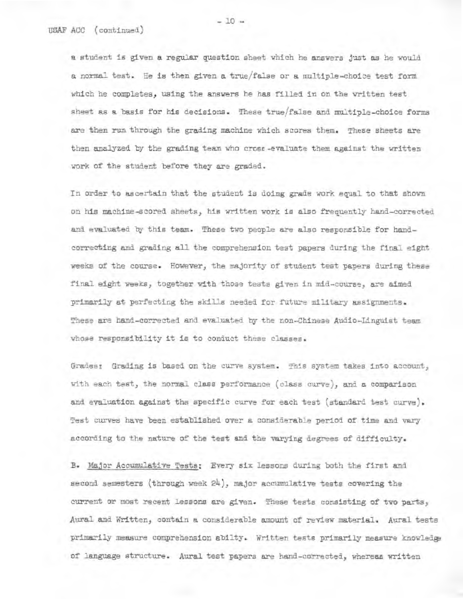a student is given a regular question sheet which he answers just as he would a student is given a regular question sheet which he answers just as he would<br>a normal test. He is then given a true/false or a multiple-choice test form which he completes, using the answers he has filled in on the written test which he completes, using the answers he **has** filled in on the written test sheet as a basis for his decisions. These true/false and multiple-choice forms are then run through the grading machine which scores them. These sheets are then analyzed by the grading team who cross-evaluate them against the written work of the student before they are graded. then analyzed by the grading team who cross-evaluate them against the written<br>work of the student before they are graded.<br>In order to ascertain that the student is doing grade work equal to that shown

on his machine-scored sheets, his written work is also frequently bead-corrected on his machine-scored sheets, his written work is also frequently hand-corrected<br>and evaluated by this team. These two people are also responsible for handcorrecting and grading all the comprehension test papers during the final eight weeks of the course. However, the majority of student test papers during these weeks of the course. However, the majority of student test papers during these<br>final eight weeks, together with those tests given in mid-course, are aimed primarily at perfecting the skills needed for future military assignments. primarily at perfecting the skills needed for future military assignments. These are hand-corrected and evaluated by the non-Chinese Audio-Linguist team whose responsibility it is to conduct these classes. These are hand-corrected and evaluated by the non-Chinese Audio-Linguist team<br>whose responsibility it is to conduct these classes.<br>Grades: Grading is based on the curve system. This system takes into account,<br>with each tes

Grades: Grading is based on the curve system. This system takes into account, with each test, the normal class performance (class curve), and a comparison and evaluation against the specific curve for each test (standard test curve). and evaluation against the specific curve for each test (standard test curve).<br>Test curves have been established over a considerable period of time and vary according to the nature of the test and the varying degrees of difficulty. according to the nature of the test and the varying degrees of difficulty.

B. Major Aceumulative Tests: every six lessons during both the first and **B.** Major Accumulative Tests: Every six lessons during both the first and second semesters (through week 24), major accumulative tests covering the current or most recent Lessons are given. These tests consisting of two parts, current or most recent lessons are given. These tests consisting of two parts, Aural and Written, contain a considerable amount of review material. Aural tests privarily measure comprehension ablIty. Written tests primarily measure knowledge of language structure. Aural test papers are hand-corrected, whereas written Aural and Written, contain a considerable amount of review material. Aural tests<br>primarily measure comprehension abilty. Written tests primarily measure knowledge<br>of language structure. Aural test papers are hand-corrected

 $-10 -$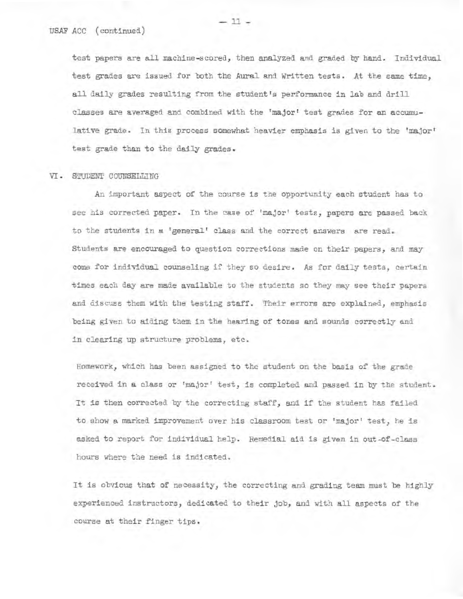test papers are all machine-scored, then analyzed and graded by hand. Individual USAF ACC (continued) test papers are all machine-scored, then analyzed and graded by hand. Individual test grades are issued for both the Aural and Written tests. AL the same time, test grades are issued for both the Aural and Written tests. At the same time, all daily grades resulting from the student's performance in lab and drill all daily grades resulting from the student's performance in lab and drill classes are averaged and combined with the 'major' test grades for an accumu-classes are averaged and combined with the 'major' test grades for an accumulative grade. In this process somewhat heavier emphasis is given to the 'major' lative grade. In this process somewhat heavier emphasis is given to the 'major' test grade than to the daily grades.

#### VI. STUDENT COUNSELLING

An important aspect of the course is the opportunity each student has to An important aspect of the course is the opportunity each student has to<br>see his corrected paper. In the case of 'major' tests, papers are passed back to the students in a 'general' class and the correct answers are read. Students are encouraged to question corrections made on their papers, and may Students are encouraged to question corrections made on their papers, and may come for individual counseling if they so desire. As for daily tests, certain come for individual counseling if they so desire. As for daily tests, certain<br>times each day are made available to the students so they may see their papers and discuss them with the testing staff. Their errors are explained, emphasis and discuss them with the testing staff. Their errors are explained, emphasis being given to aiding them in the hearing of tones and sounds correctly and being given to aiding them in the hearing of tones and sounds **correctly** and in clearing up structure problems, etc. in clearing up structure problems, etc.

Homework, which has been assigned to the student on the basis of the grade Homework, which has been assigned to the student on the basis of the grade<br>received in a class or 'major' test, is completed and passed in by the student. It is then corrected by the correcting staff, and if the student has failed It is then corrected by the correcting staff, and if the student has failed<br>to show a marked improvement over his classroom test or 'major' test, he is asked to report for individual help. Remedial aid is given in out-of-class<br>hours where the need is indicated. hours where the need is indicated.

It is obvious that of necessity, the correcting and grading team must be highly It is obvious that of necessity, the correcting and grading team must be highly<br>experienced instructors, dedicated to their job, and with all aspects of the course at their finger tips. course at their finger tips.

 $-11 -$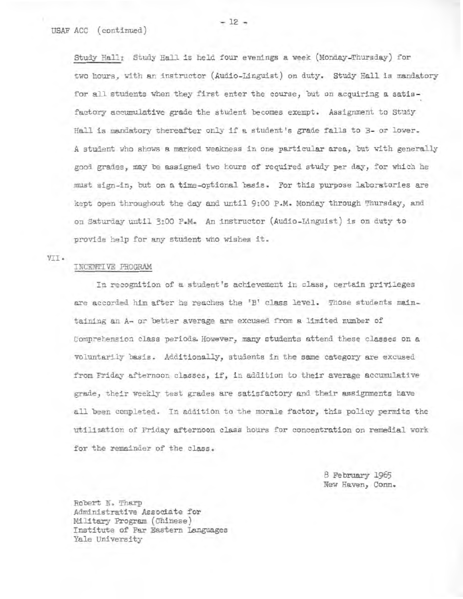USAF ACC (continued)<br>Study Hall: Study Hall is held four evenings a week (Monday-Thursday) for two Lours, with an instructor (Audio-Lingaist) on duty. Study Hall is mandatory hours, with an instructor (Audio-Linguist) on duty. Study Hall is mandatory for all students when they first enter the course, but on acquiring a satis-. factory accumulative grade the student becomes exempt. Assignment to Study Hall is mandatory thereafter only if a student's grade falls to B- or lower. A student who shows a marked weakness in one particular area, but with generally good grades, may be assigned two hours of required study per day, for which he must sign-in, but on a time-optional basis. For this purpose laboratories are kept open throughout the day and until 9:00 P.M. Monday through Thursday, and good grades, may be assigned two hours of required study per day, for which he<br>must sign-in, but on a time-optional basis. For this purpose laboratories are<br>kept open throughout the day and until 9:00 P.M. Monday through T provide help for any student who wishes it.

VII. VII.

#### INCENTIVE PROGRAM

In recognition of a student's achievement in class, certain privileges **In** recognition of a student's achievement class, certain privileges are accorded him after he reaches the 'Br class level. Those students main-are accorded him after he reaches the 'B' class level. Those students maintaining an A- or better average are excused from a limited number of Comprehension class periods. However, many students attend these classes on a voluntarily basis. Additionally, students in the sane category are excused from Friday afternoon classes, if, in addition to their average accumulative grade, their weekly test grades are satisfactory and their assignments have all been completed. In addition to the morale factor, this policy permits the utilization of Friday afternoon class hours for concentration on remedial work for the remainder of the class. **for the** class. comprehension class periods. However, many students attend these classes on a<br>voluntarily basis. Additionally, students in the same category are excused<br>from Friday afternoon classes, if, in addition to their average accum

> e February 1965 New Haven, Conn.

Robert N. Tharp Administrative Associate for Military Program (Chinese) Institute of Far Eastern languages Yale University 8 February 1965<br>
8 February 1965<br>
New Haven, Conn.<br>
Military Program (Chinese)<br>
Institute of Far Eastern Languages<br>
Yale University